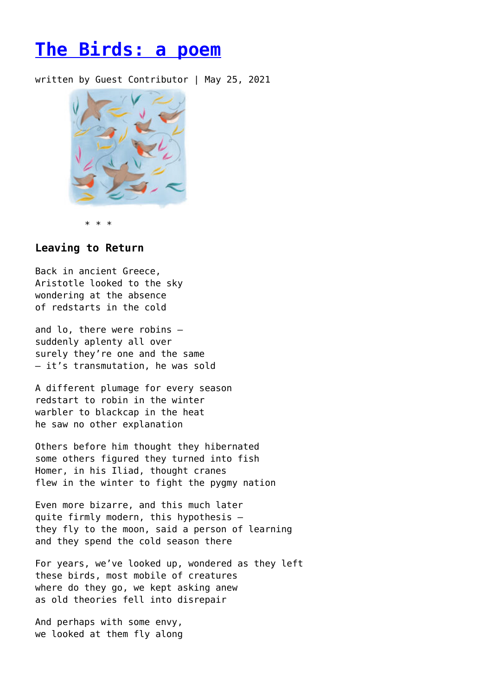## **[The Birds: a poem](https://entropymag.org/the-birds-a-poem-16/)**

written by Guest Contributor | May 25, 2021



\* \* \*

## **Leaving to Return**

Back in ancient Greece, Aristotle looked to the sky wondering at the absence of redstarts in the cold

and lo, there were robins – suddenly aplenty all over surely they're one and the same – it's transmutation, he was sold

A different plumage for every season redstart to robin in the winter warbler to blackcap in the heat he saw no other explanation

Others before him thought they hibernated some others figured they turned into fish Homer, in his Iliad, thought cranes flew in the winter to fight the pygmy nation

Even more bizarre, and this much later quite firmly modern, this hypothesis – they fly to the moon, said a person of learning and they spend the cold season there

For years, we've looked up, wondered as they left these birds, most mobile of creatures where do they go, we kept asking anew as old theories fell into disrepair

And perhaps with some envy, we looked at them fly along